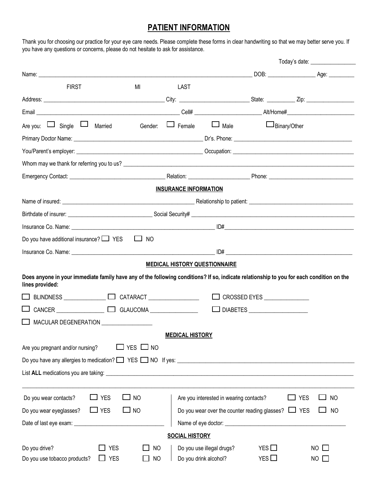# **PATIENT INFORMATION**

Thank you for choosing our practice for your eye care needs. Please complete these forms in clear handwriting so that we may better serve you. If you have any questions or concerns, please do not hesitate to ask for assistance.

|                                                                                                                                                             |                  |                                      |                                                          | Today's date: ___________________ |                     |  |
|-------------------------------------------------------------------------------------------------------------------------------------------------------------|------------------|--------------------------------------|----------------------------------------------------------|-----------------------------------|---------------------|--|
|                                                                                                                                                             |                  |                                      |                                                          |                                   |                     |  |
| <b>FIRST</b>                                                                                                                                                | MI               | <b>LAST</b>                          |                                                          |                                   |                     |  |
|                                                                                                                                                             |                  |                                      |                                                          |                                   |                     |  |
|                                                                                                                                                             |                  |                                      |                                                          |                                   |                     |  |
| Are you: $\Box$ Single $\Box$ Married                                                                                                                       |                  | Gender: LJ Female                    | $\Box$ Male                                              |                                   | $\Box$ Binary/Other |  |
|                                                                                                                                                             |                  |                                      |                                                          |                                   |                     |  |
|                                                                                                                                                             |                  |                                      |                                                          |                                   |                     |  |
|                                                                                                                                                             |                  |                                      |                                                          |                                   |                     |  |
|                                                                                                                                                             |                  |                                      |                                                          |                                   |                     |  |
|                                                                                                                                                             |                  | <b>INSURANCE INFORMATION</b>         |                                                          |                                   |                     |  |
|                                                                                                                                                             |                  |                                      |                                                          |                                   |                     |  |
|                                                                                                                                                             |                  |                                      |                                                          |                                   |                     |  |
|                                                                                                                                                             |                  |                                      |                                                          |                                   |                     |  |
| Do you have additional insurance? $\Box$ YES                                                                                                                | $\Box$ NO        |                                      |                                                          |                                   |                     |  |
|                                                                                                                                                             |                  |                                      |                                                          |                                   |                     |  |
|                                                                                                                                                             |                  | <b>MEDICAL HISTORY QUESTIONNAIRE</b> |                                                          |                                   |                     |  |
| Does anyone in your immediate family have any of the following conditions? If so, indicate relationship to you for each condition on the<br>lines provided: |                  |                                      |                                                          |                                   |                     |  |
| BLINDNESS □ □ □ CATARACT □ □ □                                                                                                                              |                  |                                      |                                                          | CROSSED EYES                      |                     |  |
|                                                                                                                                                             |                  |                                      |                                                          |                                   |                     |  |
| MACULAR DEGENERATION __________________                                                                                                                     |                  |                                      |                                                          |                                   |                     |  |
|                                                                                                                                                             |                  | <b>MEDICAL HISTORY</b>               |                                                          |                                   |                     |  |
| Are you pregnant and/or nursing?                                                                                                                            | $YES \square NO$ |                                      |                                                          |                                   |                     |  |
| Do you have any allergies to medication? Ness No If yes: No If yes: No If yes: No you have any allergies to medication? Ness No If yes:                     |                  |                                      |                                                          |                                   |                     |  |
|                                                                                                                                                             |                  |                                      |                                                          |                                   |                     |  |
|                                                                                                                                                             |                  |                                      |                                                          |                                   |                     |  |
| J yes<br>Do you wear contacts?                                                                                                                              | <b>NO</b>        |                                      | Are you interested in wearing contacts?                  |                                   | J YES<br>NO         |  |
| Do you wear eyeglasses?<br>$\Box$ YES                                                                                                                       | $\Box$ NO        |                                      | Do you wear over the counter reading glasses? $\Box$ YES |                                   | <b>NO</b>           |  |
|                                                                                                                                                             |                  |                                      |                                                          |                                   |                     |  |
|                                                                                                                                                             |                  | <b>SOCIAL HISTORY</b>                |                                                          |                                   |                     |  |
| Do you drive?<br><b>YES</b>                                                                                                                                 | <b>NO</b>        |                                      | Do you use illegal drugs?                                | YES $\Box$                        | $NO \Box$           |  |
| Do you use tobacco products?<br><b>YES</b>                                                                                                                  | <b>NO</b>        |                                      | Do you drink alcohol?                                    | YES $\Box$                        | $NO$ $\Box$         |  |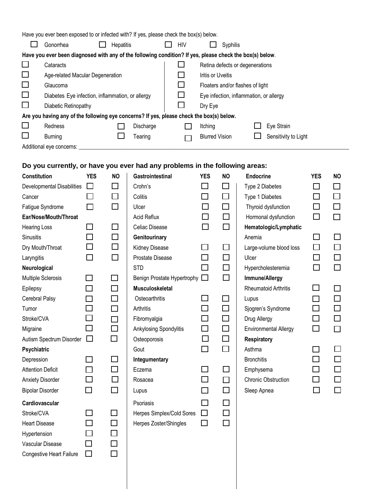| Have you ever been exposed to or infected with? If yes, please check the box(s) below.                   |                                                  |                  |           |  |              |                                         |          |  |                      |  |
|----------------------------------------------------------------------------------------------------------|--------------------------------------------------|------------------|-----------|--|--------------|-----------------------------------------|----------|--|----------------------|--|
|                                                                                                          | Gonorrhea                                        | <b>Hepatitis</b> |           |  | HIV          |                                         | Syphilis |  |                      |  |
| Have you ever been diagnosed with any of the following condition? If yes, please check the box(s) below. |                                                  |                  |           |  |              |                                         |          |  |                      |  |
| $\Box$                                                                                                   | Cataracts                                        |                  |           |  |              | Retina defects or degenerations         |          |  |                      |  |
| $\Box$                                                                                                   | Age-related Macular Degeneration                 |                  |           |  |              | <b>Iritis or Uveitis</b>                |          |  |                      |  |
| $\Box$                                                                                                   | Glaucoma                                         |                  |           |  | $\mathsf{L}$ | Floaters and/or flashes of light        |          |  |                      |  |
| $\Box$                                                                                                   | Diabetes Eye infection, inflammation, or allergy |                  |           |  |              | Eye infection, inflammation, or allergy |          |  |                      |  |
| $\Box$                                                                                                   | Diabetic Retinopathy                             |                  |           |  | Dry Eye      |                                         |          |  |                      |  |
| Are you having any of the following eye concerns? If yes, please check the box(s) below.                 |                                                  |                  |           |  |              |                                         |          |  |                      |  |
| $\Box$                                                                                                   | Redness                                          |                  | Discharge |  |              | Itching                                 |          |  | Eye Strain           |  |
| $\Box$                                                                                                   | <b>Burning</b>                                   |                  | Tearing   |  |              | <b>Blurred Vision</b>                   |          |  | Sensitivity to Light |  |
|                                                                                                          | Additional eye concerns: __                      |                  |           |  |              |                                         |          |  |                      |  |
|                                                                                                          |                                                  |                  |           |  |              |                                         |          |  |                      |  |

### **Do you currently, or have you ever had any problems in the following areas:**

| <b>Constitution</b>               | <b>YES</b>                  | <b>NO</b>                | Gastrointestinal            | <b>YES</b>     | <b>NO</b>                   | <b>Endocrine</b>             | <b>YES</b>    | <b>NO</b> |
|-----------------------------------|-----------------------------|--------------------------|-----------------------------|----------------|-----------------------------|------------------------------|---------------|-----------|
| <b>Developmental Disabilities</b> | $\Box$                      | $\Box$                   | Crohn's                     | П              | $\mathcal{L}_{\mathcal{A}}$ | Type 2 Diabetes              | $\mathcal{L}$ |           |
| Cancer                            | $\Box$                      | $\Box$                   | Colitis                     | $\Box$         | $\Box$                      | Type 1 Diabetes              | $\Box$        | $\Box$    |
| Fatigue Syndrome                  | $\Box$                      | $\Box$                   | Ulcer                       | $\Box$         | $\Box$                      | Thyroid dysfunction          | $\Box$        | $\Box$    |
| Ear/Nose/Mouth/Throat             |                             |                          | Acid Reflux                 |                | $\Box$                      | Hormonal dysfunction         | $\Box$        | $\Box$    |
| Hearing Loss                      | $\Box$                      | $\Box$                   | Celiac Disease              | $\Box$         | $\Box$                      | Hematologic/Lymphatic        |               |           |
| Sinusitis                         | $\Box$                      | $\Box$                   | Genitourinary               |                |                             | Anemia                       | $\Box$        | □         |
| Dry Mouth/Throat                  | $\Box$                      | $\Box$                   | Kidney Disease              |                |                             | Large-volume blood loss      | $\Box$        | $\Box$    |
| Laryngitis                        | $\Box$                      | $\Box$                   | Prostate Disease            | П              | $\Box$                      | Ulcer                        |               | $\Box$    |
| Neurological                      |                             |                          | <b>STD</b>                  | $\Box$         | $\Box$                      | Hypercholesteremia           | $\Box$        | $\Box$    |
| Multiple Sclerosis                | $\mathcal{L}_{\mathcal{A}}$ | $\Box$                   | Benign Prostate Hypertrophy | $\Box$         | $\Box$                      | Immune/Allergy               |               |           |
| Epilepsy                          | $\Box$                      | $\Box$                   | <b>Musculoskeletal</b>      |                |                             | Rheumatoid Arthritis         |               | $\Box$    |
| Cerebral Palsy                    | $\mathcal{L}_{\mathcal{A}}$ | $\overline{\phantom{a}}$ | Osteoarthritis              | $\blacksquare$ | П                           | Lupus                        |               | $\Box$    |
| Tumor                             | $\Box$                      | $\Box$                   | Arthritis                   | $\Box$         | $\Box$                      | Sjogren's Syndrome           | $\Box$        | $\Box$    |
| Stroke/CVA                        | $\overline{\phantom{0}}$    | $\Box$                   | Fibromyalgia                | $\sim$         | $\Box$                      | Drug Allergy                 | ப             | $\Box$    |
| Migraine                          | $\Box$                      | $\Box$                   | Ankylosing Spondylitis      | $\Box$         | $\Box$                      | <b>Environmental Allergy</b> | □             | $\Box$    |
| Autism Spectrum Disorder          | $\Box$                      | $\Box$                   | Osteoporosis                | $\Box$         | $\Box$                      | <b>Respiratory</b>           |               |           |
| Psychiatric                       |                             |                          | Gout                        | $\Box$         | $\Box$                      | Asthma                       |               | $\Box$    |
| Depression                        | $\Box$                      | $\Box$                   | Integumentary               |                |                             | <b>Bronchitis</b>            |               | $\Box$    |
| <b>Attention Deficit</b>          | $\Box$                      | $\Box$                   | Eczema                      | $\blacksquare$ | $\Box$                      | Emphysema                    |               | $\Box$    |
| <b>Anxiety Disorder</b>           | $\Box$                      | $\Box$                   | Rosacea                     | П              | $\Box$                      | <b>Chronic Obstruction</b>   | $\Box$        | □         |
| <b>Bipolar Disorder</b>           | $\Box$                      | $\Box$                   | Lupus                       | $\Box$         | $\Box$                      | Sleep Apnea                  | □             | $\Box$    |
| Cardiovascular                    |                             |                          | Psoriasis                   | П              | $\Box$                      |                              |               |           |
| Stroke/CVA                        | $\Box$                      | $\Box$                   | Herpes Simplex/Cold Sores   | □              | $\Box$                      |                              |               |           |
| <b>Heart Disease</b>              | $\Box$                      | $\Box$                   | Herpes Zoster/Shingles      | $\Box$         | $\Box$                      |                              |               |           |
| Hypertension                      |                             | $\Box$                   |                             |                |                             |                              |               |           |
| Vascular Disease                  | □                           | $\Box$                   |                             |                |                             |                              |               |           |
| <b>Congestive Heart Failure</b>   | $\Box$                      |                          |                             |                |                             |                              |               |           |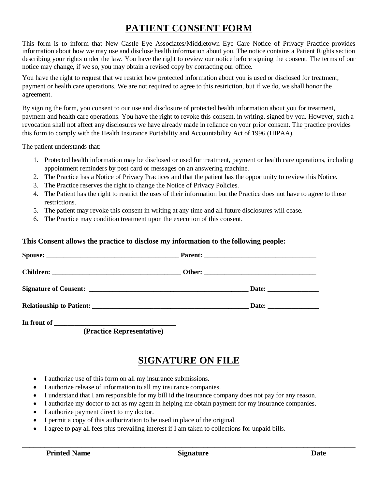# **PATIENT CONSENT FORM**

This form is to inform that New Castle Eye Associates/Middletown Eye Care Notice of Privacy Practice provides information about how we may use and disclose health information about you. The notice contains a Patient Rights section describing your rights under the law. You have the right to review our notice before signing the consent. The terms of our notice may change, if we so, you may obtain a revised copy by contacting our office.

You have the right to request that we restrict how protected information about you is used or disclosed for treatment, payment or health care operations. We are not required to agree to this restriction, but if we do, we shall honor the agreement.

By signing the form, you consent to our use and disclosure of protected health information about you for treatment, payment and health care operations. You have the right to revoke this consent, in writing, signed by you. However, such a revocation shall not affect any disclosures we have already made in reliance on your prior consent. The practice provides this form to comply with the Health Insurance Portability and Accountability Act of 1996 (HIPAA).

The patient understands that:

- 1. Protected health information may be disclosed or used for treatment, payment or health care operations, including appointment reminders by post card or messages on an answering machine.
- 2. The Practice has a Notice of Privacy Practices and that the patient has the opportunity to review this Notice.
- 3. The Practice reserves the right to change the Notice of Privacy Policies.
- 4. The Patient has the right to restrict the uses of their information but the Practice does not have to agree to those restrictions.
- 5. The patient may revoke this consent in writing at any time and all future disclosures will cease.
- 6. The Practice may condition treatment upon the execution of this consent.

#### **This Consent allows the practice to disclose my information to the following people:**

 **(Practice Representative)**

### **SIGNATURE ON FILE**

- I authorize use of this form on all my insurance submissions.
- I authorize release of information to all my insurance companies.
- I understand that I am responsible for my bill id the insurance company does not pay for any reason.
- I authorize my doctor to act as my agent in helping me obtain payment for my insurance companies.
- I authorize payment direct to my doctor.
- I permit a copy of this authorization to be used in place of the original.
- I agree to pay all fees plus prevailing interest if I am taken to collections for unpaid bills.

**\_\_\_\_\_\_\_\_\_\_\_\_\_\_\_\_\_\_\_\_\_\_\_\_\_\_\_\_\_\_\_\_\_\_\_\_\_\_\_\_\_\_\_\_\_\_\_\_\_\_\_\_\_\_\_\_\_\_\_\_\_\_\_\_\_\_\_\_\_\_\_\_\_\_\_\_\_\_\_\_\_\_\_\_\_\_\_\_\_\_**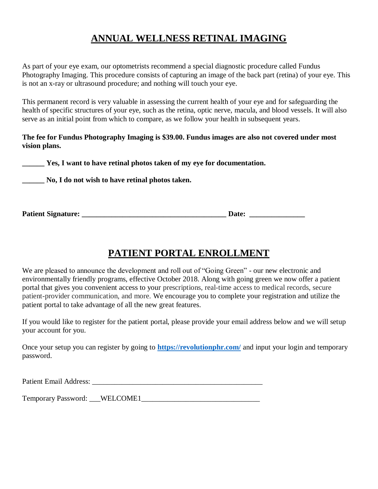## **ANNUAL WELLNESS RETINAL IMAGING**

As part of your eye exam, our optometrists recommend a special diagnostic procedure called Fundus Photography Imaging. This procedure consists of capturing an image of the back part (retina) of your eye. This is not an x-ray or ultrasound procedure; and nothing will touch your eye.

This permanent record is very valuable in assessing the current health of your eye and for safeguarding the health of specific structures of your eye, such as the retina, optic nerve, macula, and blood vessels. It will also serve as an initial point from which to compare, as we follow your health in subsequent years.

**The fee for Fundus Photography Imaging is \$39.00. Fundus images are also not covered under most vision plans.** 

**\_\_\_\_\_\_ Yes, I want to have retinal photos taken of my eye for documentation.** 

**\_\_\_\_\_\_ No, I do not wish to have retinal photos taken.**

**Patient Signature: \_\_\_\_\_\_\_\_\_\_\_\_\_\_\_\_\_\_\_\_\_\_\_\_\_\_\_\_\_\_\_\_\_\_\_\_\_\_\_ Date: \_\_\_\_\_\_\_\_\_\_\_\_\_\_\_**

# **PATIENT PORTAL ENROLLMENT**

We are pleased to announce the development and roll out of "Going Green" - our new electronic and environmentally friendly programs, effective October 2018. Along with going green we now offer a patient portal that gives you convenient access to your prescriptions, real-time access to medical records, secure patient-provider communication, and more. We encourage you to complete your registration and utilize the patient portal to take advantage of all the new great features.

If you would like to register for the patient portal, please provide your email address below and we will setup your account for you.

Once your setup you can register by going to **<https://revolutionphr.com/>** and input your login and temporary password.

Patient Email Address: \_\_\_\_\_\_\_\_\_\_\_\_\_\_\_\_\_\_\_\_\_\_\_\_\_\_\_\_\_\_\_\_\_\_\_\_\_\_\_\_\_\_\_\_\_\_

Temporary Password: \_\_\_WELCOME1\_\_\_\_\_\_\_\_\_\_\_\_\_\_\_\_\_\_\_\_\_\_\_\_\_\_\_\_\_\_\_\_